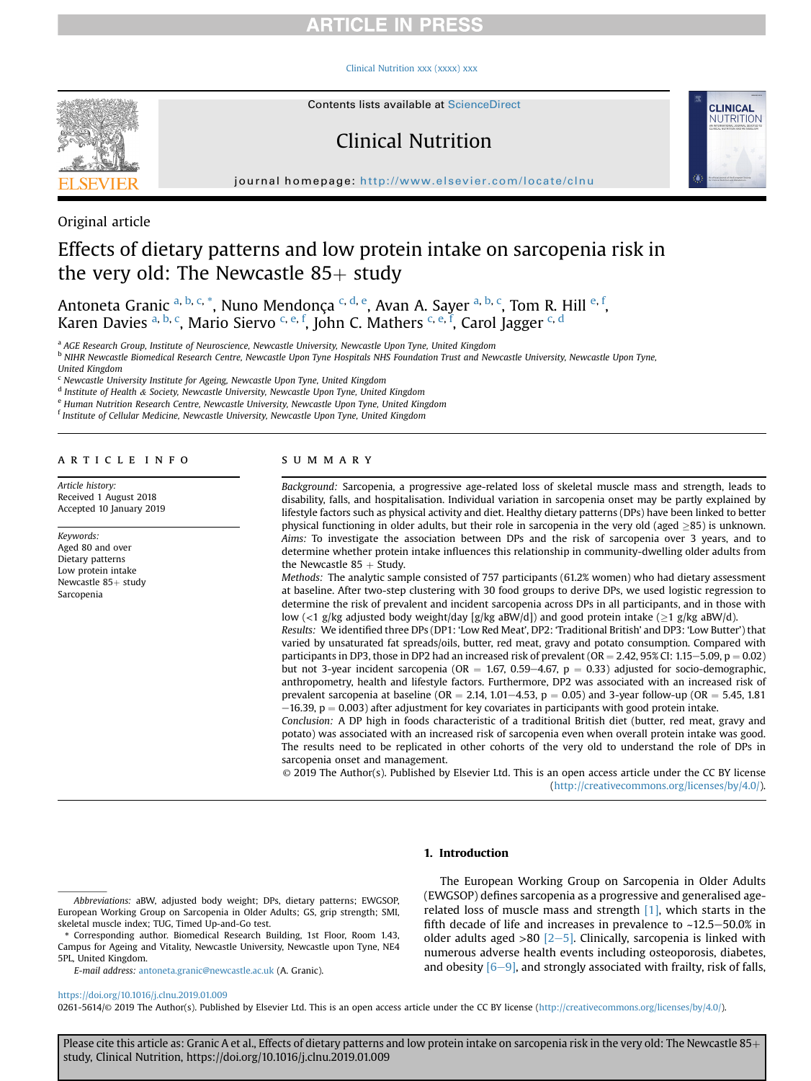## **RTICLE IN PRESS**

#### [Clinical Nutrition xxx \(xxxx\) xxx](https://doi.org/10.1016/j.clnu.2019.01.009)



Contents lists available at ScienceDirect

## Clinical Nutrition



journal homepage: <http://www.elsevier.com/locate/clnu>

Original article

# Effects of dietary patterns and low protein intake on sarcopenia risk in the very old: The Newcastle  $85+$  study

Antoneta Granic <sup>a, b, c,</sup> \*, Nuno Mendonça <sup>c, d, e</sup>, Avan A. Sayer <sup>a, b, c</sup>, Tom R. Hill <sup>e, f</sup>, Karen Davies <sup>a, b, c</sup>, Mario Siervo <sup>c, e, f</sup>, John C. Mathers <sup>c, e, f</sup>, Carol Jagger <sup>c, d</sup>

a AGE Research Group, Institute of Neuroscience, Newcastle University, Newcastle Upon Tyne, United Kingdom

<sup>b</sup> NIHR Newcastle Biomedical Research Centre, Newcastle Upon Tyne Hospitals NHS Foundation Trust and Newcastle University, Newcastle Upon Tyne,

United Kingdom

<sup>c</sup> Newcastle University Institute for Ageing, Newcastle Upon Tyne, United Kingdom

<sup>d</sup> Institute of Health & Society, Newcastle University, Newcastle Upon Tyne, United Kingdom

<sup>e</sup> Human Nutrition Research Centre, Newcastle University, Newcastle Upon Tyne, United Kingdom

 $^{\rm f}$  Institute of Cellular Medicine, Newcastle University, Newcastle Upon Tyne, United Kingdom

#### article info

Article history: Received 1 August 2018 Accepted 10 January 2019

Keywords: Aged 80 and over Dietary patterns Low protein intake Newcastle 85+ study Sarcopenia

#### summary

Background: Sarcopenia, a progressive age-related loss of skeletal muscle mass and strength, leads to disability, falls, and hospitalisation. Individual variation in sarcopenia onset may be partly explained by lifestyle factors such as physical activity and diet. Healthy dietary patterns (DPs) have been linked to better physical functioning in older adults, but their role in sarcopenia in the very old (aged  $\geq$ 85) is unknown. Aims: To investigate the association between DPs and the risk of sarcopenia over 3 years, and to determine whether protein intake influences this relationship in community-dwelling older adults from the Newcastle  $85 +$  Study.

Methods: The analytic sample consisted of 757 participants (61.2% women) who had dietary assessment at baseline. After two-step clustering with 30 food groups to derive DPs, we used logistic regression to determine the risk of prevalent and incident sarcopenia across DPs in all participants, and in those with low (<1 g/kg adjusted body weight/day [g/kg aBW/d]) and good protein intake ( $\geq$ 1 g/kg aBW/d).

Results: We identified three DPs (DP1: 'Low Red Meat', DP2: 'Traditional British' and DP3: 'Low Butter') that varied by unsaturated fat spreads/oils, butter, red meat, gravy and potato consumption. Compared with participants in DP3, those in DP2 had an increased risk of prevalent (OR  $=$  2.42, 95% CI: 1.15–5.09, p  $=$  0.02) but not 3-year incident sarcopenia (OR = 1.67, 0.59–4.67, p = 0.33) adjusted for socio-demographic, anthropometry, health and lifestyle factors. Furthermore, DP2 was associated with an increased risk of prevalent sarcopenia at baseline (OR = 2.14, 1.01–4.53, p = 0.05) and 3-year follow-up (OR = 5.45, 1.81  $-16.39$ , p = 0.003) after adjustment for key covariates in participants with good protein intake.

Conclusion: A DP high in foods characteristic of a traditional British diet (butter, red meat, gravy and potato) was associated with an increased risk of sarcopenia even when overall protein intake was good. The results need to be replicated in other cohorts of the very old to understand the role of DPs in sarcopenia onset and management.

© 2019 The Author(s). Published by Elsevier Ltd. This is an open access article under the CC BY license [\(http://creativecommons.org/licenses/by/4.0/](http://creativecommons.org/licenses/by/4.0/)).

### 1. Introduction

E-mail address: [antoneta.granic@newcastle.ac.uk](mailto:antoneta.granic@newcastle.ac.uk) (A. Granic).

The European Working Group on Sarcopenia in Older Adults (EWGSOP) defines sarcopenia as a progressive and generalised agerelated loss of muscle mass and strength [\[1\],](#page-6-0) which starts in the fifth decade of life and increases in prevalence to  $~12.5-50.0\%$  in older adults aged  $>80$  [\[2](#page-6-0)-[5\]](#page-6-0). Clinically, sarcopenia is linked with numerous adverse health events including osteoporosis, diabetes, and obesity  $[6-9]$  $[6-9]$ , and strongly associated with frailty, risk of falls,

### <https://doi.org/10.1016/j.clnu.2019.01.009>

0261-5614/© 2019 The Author(s). Published by Elsevier Ltd. This is an open access article under the CC BY license [\(http://creativecommons.org/licenses/by/4.0/\)](http://creativecommons.org/licenses/by/4.0/).

Abbreviations: aBW, adjusted body weight; DPs, dietary patterns; EWGSOP, European Working Group on Sarcopenia in Older Adults; GS, grip strength; SMI, skeletal muscle index; TUG, Timed Up-and-Go test.

<sup>\*</sup> Corresponding author. Biomedical Research Building, 1st Floor, Room 1.43, Campus for Ageing and Vitality, Newcastle University, Newcastle upon Tyne, NE4 5PL, United Kingdom.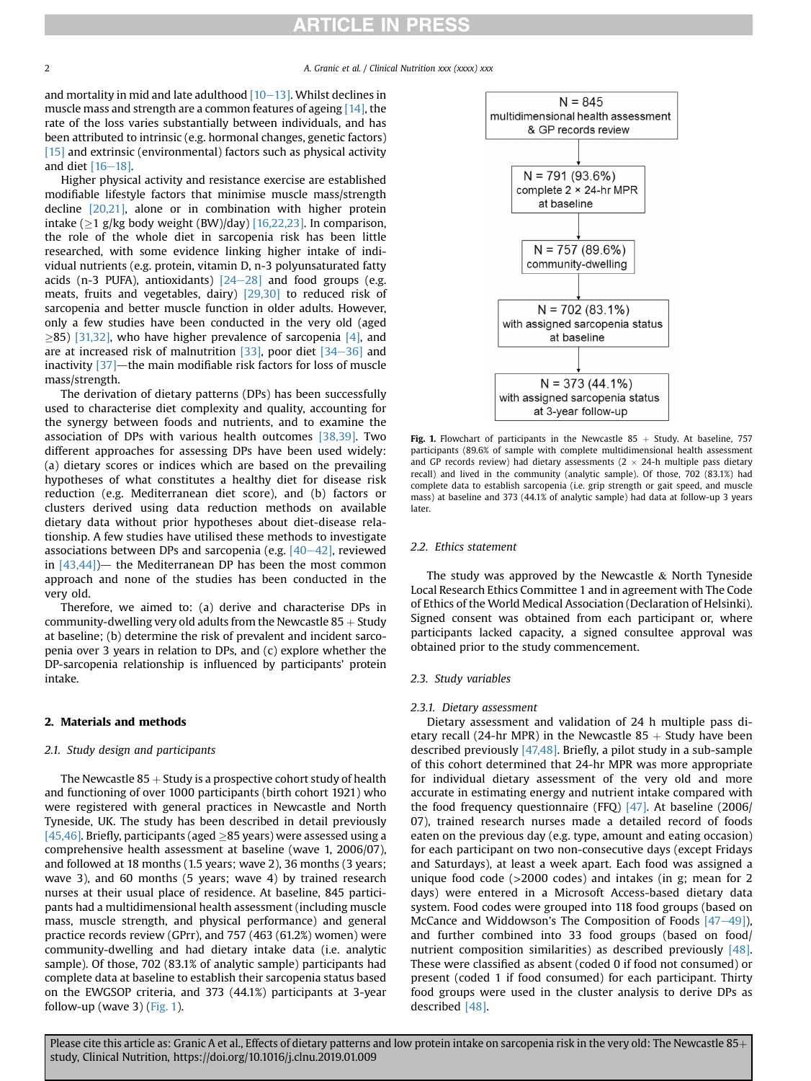## **RTICLE IN PRESS**

and mortality in mid and late adulthood  $[10-13]$  $[10-13]$  $[10-13]$ . Whilst declines in muscle mass and strength are a common features of ageing [\[14\],](#page-6-0) the rate of the loss varies substantially between individuals, and has been attributed to intrinsic (e.g. hormonal changes, genetic factors) [\[15\]](#page-7-0) and extrinsic (environmental) factors such as physical activity and diet  $[16-18]$  $[16-18]$  $[16-18]$ .

Higher physical activity and resistance exercise are established modifiable lifestyle factors that minimise muscle mass/strength decline [\[20,21\],](#page-7-0) alone or in combination with higher protein intake ( $\geq$ 1 g/kg body weight (BW)/day) [\[16,22,23\]](#page-7-0). In comparison, the role of the whole diet in sarcopenia risk has been little researched, with some evidence linking higher intake of individual nutrients (e.g. protein, vitamin D, n-3 polyunsaturated fatty acids (n-3 PUFA), antioxidants)  $[24-28]$  $[24-28]$  $[24-28]$  and food groups (e.g. meats, fruits and vegetables, dairy) [\[29,30\]](#page-7-0) to reduced risk of sarcopenia and better muscle function in older adults. However, only a few studies have been conducted in the very old (aged  $\geq$ 85) [\[31,32\],](#page-7-0) who have higher prevalence of sarcopenia [\[4\]](#page-6-0), and are at increased risk of malnutrition  $[33]$ , poor diet  $[34-36]$  $[34-36]$  $[34-36]$  and inactivity  $[37]$ —the main modifiable risk factors for loss of muscle mass/strength.

The derivation of dietary patterns (DPs) has been successfully used to characterise diet complexity and quality, accounting for the synergy between foods and nutrients, and to examine the association of DPs with various health outcomes [\[38,39\]](#page-7-0). Two different approaches for assessing DPs have been used widely: (a) dietary scores or indices which are based on the prevailing hypotheses of what constitutes a healthy diet for disease risk reduction (e.g. Mediterranean diet score), and (b) factors or clusters derived using data reduction methods on available dietary data without prior hypotheses about diet-disease relationship. A few studies have utilised these methods to investigate associations between DPs and sarcopenia (e.g.  $[40-42]$  $[40-42]$  $[40-42]$ , reviewed in  $[43,44]$  - the Mediterranean DP has been the most common approach and none of the studies has been conducted in the very old.

Therefore, we aimed to: (a) derive and characterise DPs in community-dwelling very old adults from the Newcastle  $85 +$ Study at baseline; (b) determine the risk of prevalent and incident sarcopenia over 3 years in relation to DPs, and (c) explore whether the DP-sarcopenia relationship is influenced by participants' protein intake.

#### 2. Materials and methods

#### 2.1. Study design and participants

The Newcastle  $85 +$  Study is a prospective cohort study of health and functioning of over 1000 participants (birth cohort 1921) who were registered with general practices in Newcastle and North Tyneside, UK. The study has been described in detail previously [\[45,46\].](#page-7-0) Briefly, participants (aged  $\geq$ 85 years) were assessed using a comprehensive health assessment at baseline (wave 1, 2006/07), and followed at 18 months (1.5 years; wave 2), 36 months (3 years; wave 3), and 60 months (5 years; wave 4) by trained research nurses at their usual place of residence. At baseline, 845 participants had a multidimensional health assessment (including muscle mass, muscle strength, and physical performance) and general practice records review (GPrr), and 757 (463 (61.2%) women) were community-dwelling and had dietary intake data (i.e. analytic sample). Of those, 702 (83.1% of analytic sample) participants had complete data at baseline to establish their sarcopenia status based on the EWGSOP criteria, and 373 (44.1%) participants at 3-year follow-up (wave 3) (Fig. 1).



Fig. 1. Flowchart of participants in the Newcastle 85  $+$  Study. At baseline, 757 participants (89.6% of sample with complete multidimensional health assessment and GP records review) had dietary assessments ( $2 \times 24$ -h multiple pass dietary recall) and lived in the community (analytic sample). Of those, 702 (83.1%) had complete data to establish sarcopenia (i.e. grip strength or gait speed, and muscle mass) at baseline and 373 (44.1% of analytic sample) had data at follow-up 3 years later.

### 2.2. Ethics statement

The study was approved by the Newcastle  $&$  North Tyneside Local Research Ethics Committee 1 and in agreement with The Code of Ethics of the World Medical Association (Declaration of Helsinki). Signed consent was obtained from each participant or, where participants lacked capacity, a signed consultee approval was obtained prior to the study commencement.

#### 2.3. Study variables

#### 2.3.1. Dietary assessment

Dietary assessment and validation of 24 h multiple pass dietary recall (24-hr MPR) in the Newcastle  $85 +$  Study have been described previously [\[47,48\]](#page-7-0). Briefly, a pilot study in a sub-sample of this cohort determined that 24-hr MPR was more appropriate for individual dietary assessment of the very old and more accurate in estimating energy and nutrient intake compared with the food frequency questionnaire (FFQ) [\[47\]](#page-7-0). At baseline (2006/ 07), trained research nurses made a detailed record of foods eaten on the previous day (e.g. type, amount and eating occasion) for each participant on two non-consecutive days (except Fridays and Saturdays), at least a week apart. Each food was assigned a unique food code (>2000 codes) and intakes (in g; mean for 2 days) were entered in a Microsoft Access-based dietary data system. Food codes were grouped into 118 food groups (based on McCance and Widdowson's The Composition of Foods  $[47-49]$  $[47-49]$ ), and further combined into 33 food groups (based on food/ nutrient composition similarities) as described previously [\[48\].](#page-7-0) These were classified as absent (coded 0 if food not consumed) or present (coded 1 if food consumed) for each participant. Thirty food groups were used in the cluster analysis to derive DPs as described [\[48\]](#page-7-0).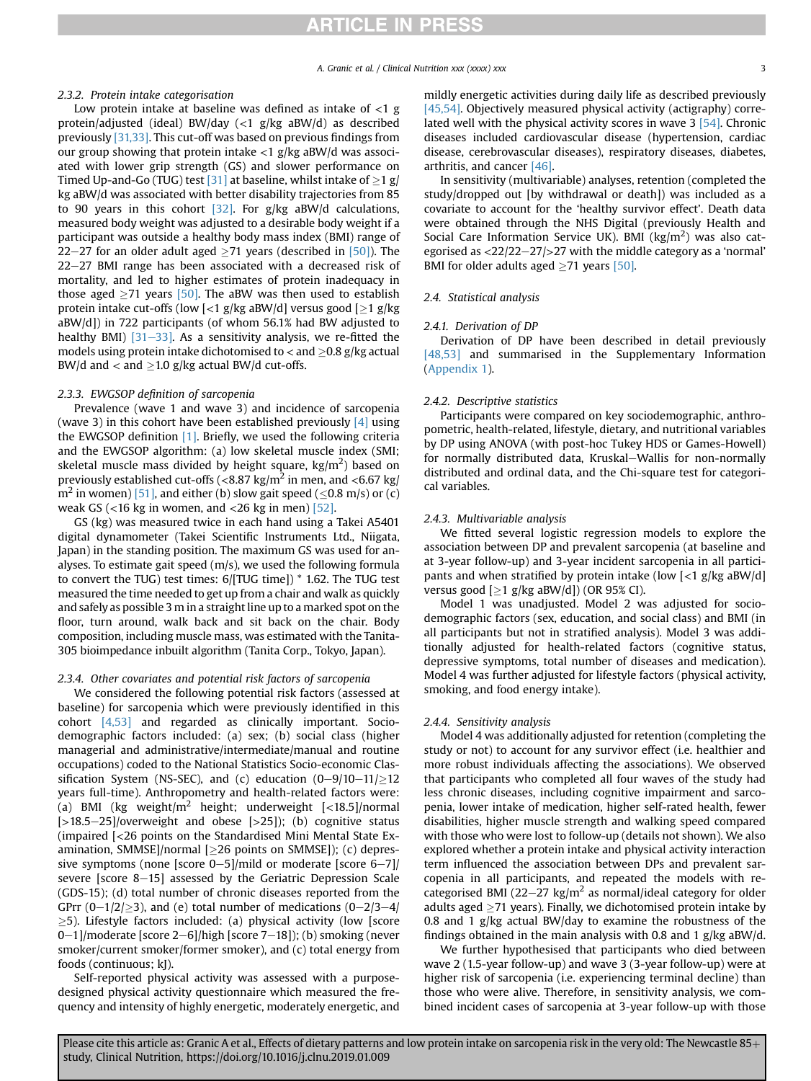#### 2.3.2. Protein intake categorisation

Low protein intake at baseline was defined as intake of  $\langle 1 \rangle$ g protein/adjusted (ideal) BW/day (<1 g/kg aBW/d) as described previously [\[31,33\]](#page-7-0). This cut-off was based on previous findings from our group showing that protein intake  $<$ 1 g/kg aBW/d was associated with lower grip strength (GS) and slower performance on Timed Up-and-Go (TUG) test [\[31\]](#page-7-0) at baseline, whilst intake of  $\geq$ 1 g/ kg aBW/d was associated with better disability trajectories from 85 to 90 years in this cohort  $[32]$ . For g/kg aBW/d calculations, measured body weight was adjusted to a desirable body weight if a participant was outside a healthy body mass index (BMI) range of 22–27 for an older adult aged  $\geq$ 71 years (described in [\[50\]\)](#page-7-0). The  $22-27$  BMI range has been associated with a decreased risk of mortality, and led to higher estimates of protein inadequacy in those aged  $\geq$ 71 years [\[50\]](#page-7-0). The aBW was then used to establish protein intake cut-offs (low [<1 g/kg aBW/d] versus good [ $\geq$ 1 g/kg aBW/d]) in 722 participants (of whom 56.1% had BW adjusted to healthy BMI)  $[31-33]$  $[31-33]$ . As a sensitivity analysis, we re-fitted the models using protein intake dichotomised to  $<$  and  $\geq$  0.8 g/kg actual BW/d and  $<$  and  $\geq$ 1.0 g/kg actual BW/d cut-offs.

#### 2.3.3. EWGSOP definition of sarcopenia

Prevalence (wave 1 and wave 3) and incidence of sarcopenia (wave 3) in this cohort have been established previously  $[4]$  using the EWGSOP definition [\[1\]](#page-6-0). Briefly, we used the following criteria and the EWGSOP algorithm: (a) low skeletal muscle index (SMI; skeletal muscle mass divided by height square, kg/m<sup>2</sup>) based on previously established cut-offs ( $\langle 8.87 \text{ kg/m}^2$  in men, and  $\langle 6.67 \text{ kg} \rangle$  $m^2$  in women) [\[51\],](#page-7-0) and either (b) slow gait speed (<0.8 m/s) or (c) weak GS ( $<$ 16 kg in women, and  $<$ 26 kg in men) [\[52\]](#page-7-0).

GS (kg) was measured twice in each hand using a Takei A5401 digital dynamometer (Takei Scientific Instruments Ltd., Niigata, Japan) in the standing position. The maximum GS was used for analyses. To estimate gait speed (m/s), we used the following formula to convert the TUG) test times: 6/[TUG time]) \* 1.62. The TUG test measured the time needed to get up from a chair and walk as quickly and safely as possible 3 m in a straight line up to a marked spot on the floor, turn around, walk back and sit back on the chair. Body composition, including muscle mass, was estimated with the Tanita-305 bioimpedance inbuilt algorithm (Tanita Corp., Tokyo, Japan).

#### 2.3.4. Other covariates and potential risk factors of sarcopenia

We considered the following potential risk factors (assessed at baseline) for sarcopenia which were previously identified in this cohort [\[4,53\]](#page-6-0) and regarded as clinically important. Sociodemographic factors included: (a) sex; (b) social class (higher managerial and administrative/intermediate/manual and routine occupations) coded to the National Statistics Socio-economic Classification System (NS-SEC), and (c) education  $(0-9/10-11)/212$ years full-time). Anthropometry and health-related factors were: (a) BMI (kg weight/ $m^2$  height; underweight [<18.5]/normal  $[-18.5-25]$ /overweight and obese  $[-25]$ ); (b) cognitive status (impaired [<26 points on the Standardised Mini Mental State Ex $amination, SMMSE$ ]/normal [ $\geq$ 26 points on SMMSE]); (c) depressive symptoms (none [score 0-5]/mild or moderate [score 6-7]/ severe [score 8-15] assessed by the Geriatric Depression Scale (GDS-15); (d) total number of chronic diseases reported from the GPrr  $(0-1/2/\geq 3)$ , and (e) total number of medications  $(0-2/3-4/2)$  $\geq$ 5). Lifestyle factors included: (a) physical activity (low [score 0-1]/moderate [score 2-6]/high [score 7-18]); (b) smoking (never smoker/current smoker/former smoker), and (c) total energy from foods (continuous; kJ).

Self-reported physical activity was assessed with a purposedesigned physical activity questionnaire which measured the frequency and intensity of highly energetic, moderately energetic, and mildly energetic activities during daily life as described previously [\[45,54\]](#page-7-0). Objectively measured physical activity (actigraphy) correlated well with the physical activity scores in wave 3 [\[54\]](#page-7-0). Chronic diseases included cardiovascular disease (hypertension, cardiac disease, cerebrovascular diseases), respiratory diseases, diabetes, arthritis, and cancer [\[46\]](#page-7-0).

In sensitivity (multivariable) analyses, retention (completed the study/dropped out [by withdrawal or death]) was included as a covariate to account for the 'healthy survivor effect'. Death data were obtained through the NHS Digital (previously Health and Social Care Information Service UK). BMI ( $\text{kg/m}^2$ ) was also categorised as  $\langle 22/22-27/27 \rangle$  with the middle category as a 'normal' BMI for older adults aged  $\geq$ 71 years [\[50\].](#page-7-0)

#### 2.4. Statistical analysis

### 2.4.1. Derivation of DP

Derivation of DP have been described in detail previously [\[48,53\]](#page-7-0) and summarised in the Supplementary Information (Appendix 1).

#### 2.4.2. Descriptive statistics

Participants were compared on key sociodemographic, anthropometric, health-related, lifestyle, dietary, and nutritional variables by DP using ANOVA (with post-hoc Tukey HDS or Games-Howell) for normally distributed data, Kruskal-Wallis for non-normally distributed and ordinal data, and the Chi-square test for categorical variables.

#### 2.4.3. Multivariable analysis

We fitted several logistic regression models to explore the association between DP and prevalent sarcopenia (at baseline and at 3-year follow-up) and 3-year incident sarcopenia in all participants and when stratified by protein intake (low [<1 g/kg aBW/d] versus good  $[ \geq 1 \text{ g/kg aBW/d} ]$ ) (OR 95% CI).

Model 1 was unadjusted. Model 2 was adjusted for sociodemographic factors (sex, education, and social class) and BMI (in all participants but not in stratified analysis). Model 3 was additionally adjusted for health-related factors (cognitive status, depressive symptoms, total number of diseases and medication). Model 4 was further adjusted for lifestyle factors (physical activity, smoking, and food energy intake).

#### 2.4.4. Sensitivity analysis

Model 4 was additionally adjusted for retention (completing the study or not) to account for any survivor effect (i.e. healthier and more robust individuals affecting the associations). We observed that participants who completed all four waves of the study had less chronic diseases, including cognitive impairment and sarcopenia, lower intake of medication, higher self-rated health, fewer disabilities, higher muscle strength and walking speed compared with those who were lost to follow-up (details not shown). We also explored whether a protein intake and physical activity interaction term influenced the association between DPs and prevalent sarcopenia in all participants, and repeated the models with recategorised BMI (22–27 kg/m<sup>2</sup> as normal/ideal category for older adults aged  $\geq$ 71 years). Finally, we dichotomised protein intake by 0.8 and 1 g/kg actual BW/day to examine the robustness of the findings obtained in the main analysis with 0.8 and 1 g/kg aBW/d.

We further hypothesised that participants who died between wave 2 (1.5-year follow-up) and wave 3 (3-year follow-up) were at higher risk of sarcopenia (i.e. experiencing terminal decline) than those who were alive. Therefore, in sensitivity analysis, we combined incident cases of sarcopenia at 3-year follow-up with those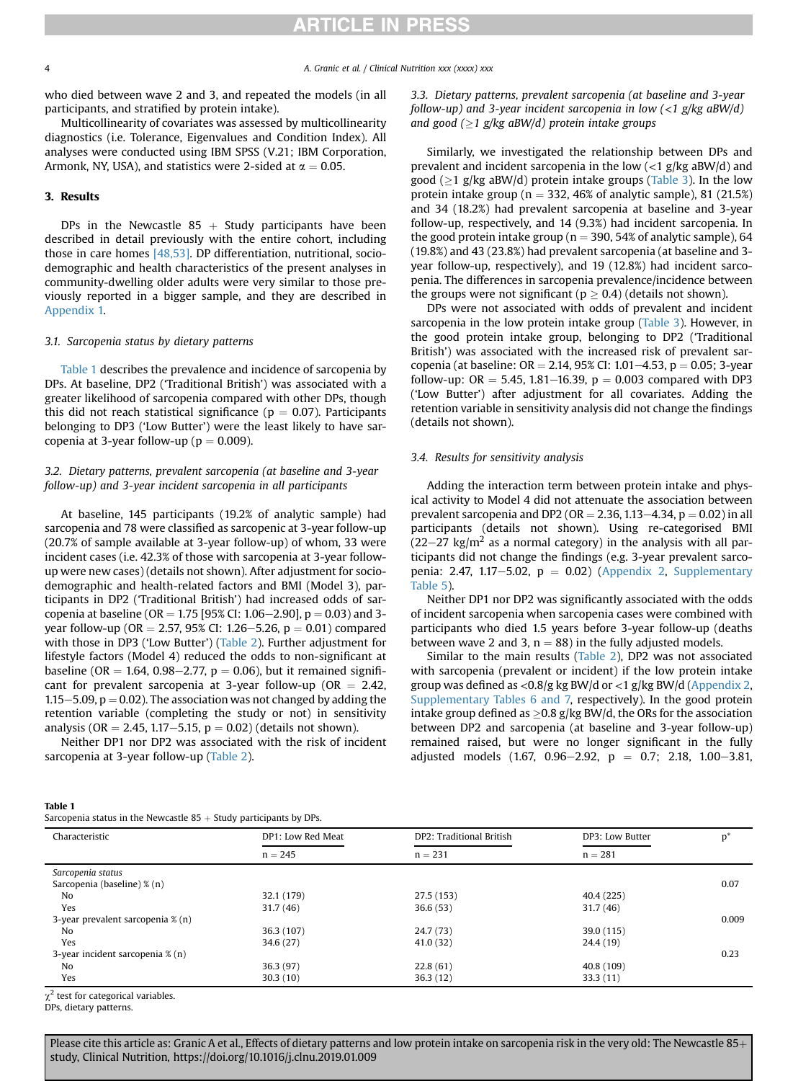## **RTICLE IN PRESS**

4 A. Granic et al. / Clinical Nutrition xxx (xxxx) xxx

who died between wave 2 and 3, and repeated the models (in all participants, and stratified by protein intake).

Multicollinearity of covariates was assessed by multicollinearity diagnostics (i.e. Tolerance, Eigenvalues and Condition Index). All analyses were conducted using IBM SPSS (V.21; IBM Corporation, Armonk, NY, USA), and statistics were 2-sided at  $\alpha = 0.05$ .

### 3. Results

DPs in the Newcastle  $85 +$  Study participants have been described in detail previously with the entire cohort, including those in care homes [\[48,53\]](#page-7-0). DP differentiation, nutritional, sociodemographic and health characteristics of the present analyses in community-dwelling older adults were very similar to those previously reported in a bigger sample, and they are described in Appendix 1.

#### 3.1. Sarcopenia status by dietary patterns

Table 1 describes the prevalence and incidence of sarcopenia by DPs. At baseline, DP2 ('Traditional British') was associated with a greater likelihood of sarcopenia compared with other DPs, though this did not reach statistical significance ( $p = 0.07$ ). Participants belonging to DP3 ('Low Butter') were the least likely to have sarcopenia at 3-year follow-up ( $p = 0.009$ ).

### 3.2. Dietary patterns, prevalent sarcopenia (at baseline and 3-year follow-up) and 3-year incident sarcopenia in all participants

At baseline, 145 participants (19.2% of analytic sample) had sarcopenia and 78 were classified as sarcopenic at 3-year follow-up (20.7% of sample available at 3-year follow-up) of whom, 33 were incident cases (i.e. 42.3% of those with sarcopenia at 3-year followup were new cases) (details not shown). After adjustment for sociodemographic and health-related factors and BMI (Model 3), participants in DP2 ('Traditional British') had increased odds of sarcopenia at baseline (OR = 1.75 [95% CI: 1.06–2.90],  $p = 0.03$ ) and 3year follow-up (OR = 2.57, 95% CI: 1.26–5.26, p = 0.01) compared with those in DP3 ('Low Butter') ([Table 2](#page-4-0)). Further adjustment for lifestyle factors (Model 4) reduced the odds to non-significant at baseline (OR = 1.64, 0.98–2.77,  $p = 0.06$ ), but it remained significant for prevalent sarcopenia at 3-year follow-up ( $OR = 2.42$ , 1.15 $-5.09$ ,  $p = 0.02$ ). The association was not changed by adding the retention variable (completing the study or not) in sensitivity analysis (OR = 2.45, 1.17-5.15,  $p = 0.02$ ) (details not shown).

Neither DP1 nor DP2 was associated with the risk of incident sarcopenia at 3-year follow-up ([Table 2\)](#page-4-0).

3.3. Dietary patterns, prevalent sarcopenia (at baseline and 3-year follow-up) and 3-year incident sarcopenia in low  $\langle$ <1 g/kg aBW/d) and good ( $\geq$ 1 g/kg aBW/d) protein intake groups

Similarly, we investigated the relationship between DPs and prevalent and incident sarcopenia in the low  $\left($  <1 g/kg aBW/d) and good ( $\geq$ 1 g/kg aBW/d) protein intake groups [\(Table 3\)](#page-4-0). In the low protein intake group ( $n = 332, 46\%$  of analytic sample), 81 (21.5%) and 34 (18.2%) had prevalent sarcopenia at baseline and 3-year follow-up, respectively, and 14 (9.3%) had incident sarcopenia. In the good protein intake group ( $n = 390, 54\%$  of analytic sample), 64 (19.8%) and 43 (23.8%) had prevalent sarcopenia (at baseline and 3 year follow-up, respectively), and 19 (12.8%) had incident sarcopenia. The differences in sarcopenia prevalence/incidence between the groups were not significant ( $p \ge 0.4$ ) (details not shown).

DPs were not associated with odds of prevalent and incident sarcopenia in the low protein intake group [\(Table 3](#page-4-0)). However, in the good protein intake group, belonging to DP2 ('Traditional British') was associated with the increased risk of prevalent sarcopenia (at baseline:  $OR = 2.14$ , 95% CI: 1.01–4.53, p = 0.05; 3-year follow-up: OR = 5.45, 1.81–16.39,  $p = 0.003$  compared with DP3 ('Low Butter') after adjustment for all covariates. Adding the retention variable in sensitivity analysis did not change the findings (details not shown).

#### 3.4. Results for sensitivity analysis

Adding the interaction term between protein intake and physical activity to Model 4 did not attenuate the association between prevalent sarcopenia and DP2 (OR = 2.36, 1.13–4.34,  $p = 0.02$ ) in all participants (details not shown). Using re-categorised BMI  $(22-27 \text{ kg/m}^2$  as a normal category) in the analysis with all participants did not change the findings (e.g. 3-year prevalent sarcopenia: 2.47, 1.17-5.02,  $p = 0.02$ ) [\(Appendix 2](#page-6-0), Supplementary Table 5).

Neither DP1 nor DP2 was significantly associated with the odds of incident sarcopenia when sarcopenia cases were combined with participants who died 1.5 years before 3-year follow-up (deaths between wave 2 and 3,  $n = 88$ ) in the fully adjusted models.

Similar to the main results ([Table 2\)](#page-4-0), DP2 was not associated with sarcopenia (prevalent or incident) if the low protein intake group was defined as <0.8/g kg BW/d or <1 g/kg BW/d ([Appendix 2,](#page-6-0) Supplementary Tables 6 and 7, respectively). In the good protein intake group defined as  $\geq$  0.8 g/kg BW/d, the ORs for the association between DP2 and sarcopenia (at baseline and 3-year follow-up) remained raised, but were no longer significant in the fully adjusted models (1.67, 0.96-2.92,  $p = 0.7$ ; 2.18, 1.00-3.81,

#### Table 1

| Characteristic                              | DP1: Low Red Meat | DP2: Traditional British | DP3: Low Butter | $p^*$ |  |
|---------------------------------------------|-------------------|--------------------------|-----------------|-------|--|
|                                             | $n = 245$         | $n = 231$                | $n = 281$       |       |  |
| Sarcopenia status                           |                   |                          |                 |       |  |
| Sarcopenia (baseline) % (n)                 |                   |                          |                 | 0.07  |  |
| No                                          | 32.1 (179)        | 27.5(153)                | 40.4 (225)      |       |  |
| Yes                                         | 31.7(46)          | 36.6(53)                 | 31.7(46)        |       |  |
| 3-year prevalent sarcopenia % (n)           |                   |                          |                 | 0.009 |  |
| No                                          | 36.3 (107)        | 24.7(73)                 | 39.0 (115)      |       |  |
| Yes                                         | 34.6(27)          | 41.0(32)                 | 24.4 (19)       |       |  |
| 3-year incident sarcopenia $\mathcal{X}(n)$ |                   |                          |                 | 0.23  |  |
| No                                          | 36.3(97)          | 22.8(61)                 | 40.8 (109)      |       |  |
| Yes                                         | 30.3(10)          | 36.3(12)                 | 33.3(11)        |       |  |

DPs, dietary patterns.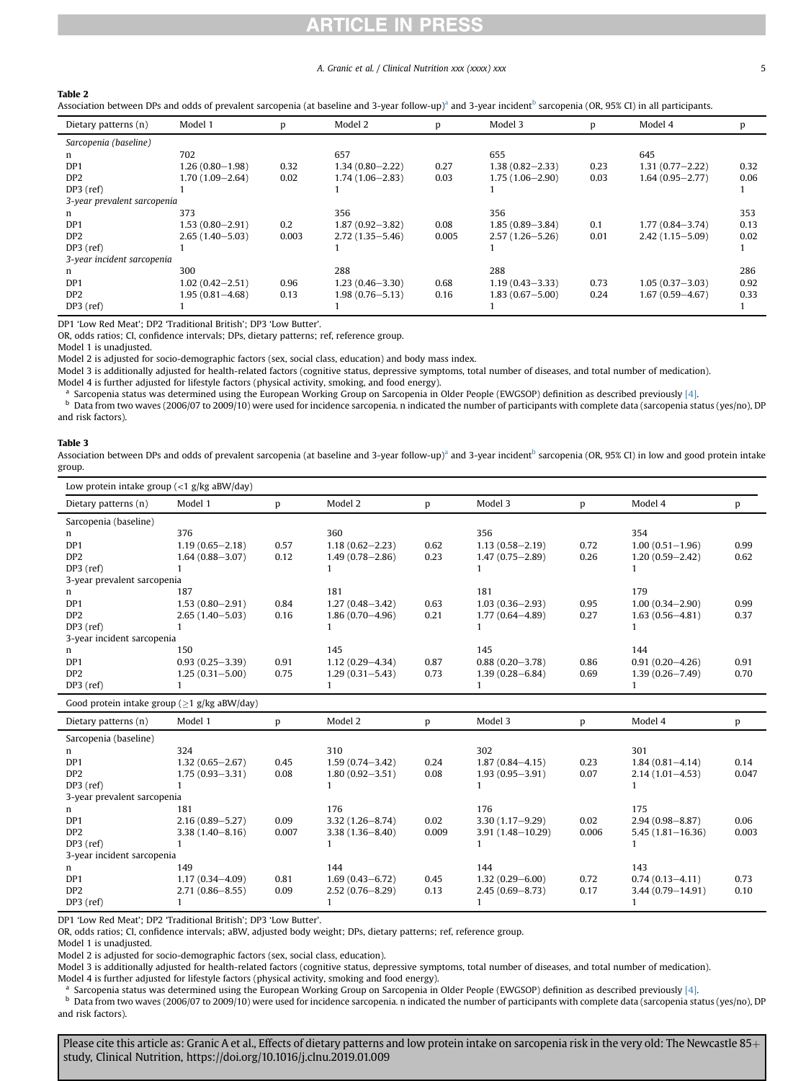## ICLE IN PRES

#### A. Granic et al. / Clinical Nutrition xxx (xxxx) xxx 5

<span id="page-4-0"></span>

|--|

Association between DPs and odds of prevalent sarcopenia (at baseline and 3-year follow-up)<sup>a</sup> and 3-year incident<sup>b</sup> sarcopenia (OR, 95% CI) in all participants.

| Dietary patterns (n)        | Model 1             |       | Model 2             | D     | Model 3             | p    | Model 4             |      |
|-----------------------------|---------------------|-------|---------------------|-------|---------------------|------|---------------------|------|
| Sarcopenia (baseline)       |                     |       |                     |       |                     |      |                     |      |
| n.                          | 702                 |       | 657                 |       | 655                 |      | 645                 |      |
| DP <sub>1</sub>             | $1.26(0.80 - 1.98)$ | 0.32  | $1.34(0.80 - 2.22)$ | 0.27  | $1.38(0.82 - 2.33)$ | 0.23 | $1.31(0.77 - 2.22)$ | 0.32 |
| DP <sub>2</sub>             | $1.70(1.09 - 2.64)$ | 0.02  | $1.74(1.06 - 2.83)$ | 0.03  | $1.75(1.06 - 2.90)$ | 0.03 | $1.64(0.95 - 2.77)$ | 0.06 |
| $DP3$ (ref)                 |                     |       |                     |       |                     |      |                     |      |
| 3-year prevalent sarcopenia |                     |       |                     |       |                     |      |                     |      |
| n                           | 373                 |       | 356                 |       | 356                 |      |                     | 353  |
| DP <sub>1</sub>             | $1.53(0.80 - 2.91)$ | 0.2   | $1.87(0.92 - 3.82)$ | 0.08  | $1.85(0.89 - 3.84)$ | 0.1  | $1.77(0.84 - 3.74)$ | 0.13 |
| DP <sub>2</sub>             | $2.65(1.40 - 5.03)$ | 0.003 | $2.72(1.35 - 5.46)$ | 0.005 | $2.57(1.26 - 5.26)$ | 0.01 | $2.42(1.15 - 5.09)$ | 0.02 |
| $DP3$ (ref)                 |                     |       |                     |       |                     |      |                     |      |
| 3-year incident sarcopenia  |                     |       |                     |       |                     |      |                     |      |
| n                           | 300                 |       | 288                 |       | 288                 |      |                     | 286  |
| DP <sub>1</sub>             | $1.02(0.42 - 2.51)$ | 0.96  | $1.23(0.46 - 3.30)$ | 0.68  | $1.19(0.43 - 3.33)$ | 0.73 | $1.05(0.37 - 3.03)$ | 0.92 |
| DP <sub>2</sub>             | $1.95(0.81 - 4.68)$ | 0.13  | $1.98(0.76 - 5.13)$ | 0.16  | $1.83(0.67 - 5.00)$ | 0.24 | $1.67(0.59 - 4.67)$ | 0.33 |
| $DP3$ (ref)                 |                     |       |                     |       |                     |      |                     |      |

DP1 'Low Red Meat'; DP2 'Traditional British'; DP3 'Low Butter'.

OR, odds ratios; CI, confidence intervals; DPs, dietary patterns; ref, reference group.

Model 1 is unadjusted.

Model 2 is adjusted for socio-demographic factors (sex, social class, education) and body mass index.

Model 3 is additionally adjusted for health-related factors (cognitive status, depressive symptoms, total number of diseases, and total number of medication).

Model 4 is further adjusted for lifestyle factors (physical activity, smoking, and food energy).

<sup>a</sup> Sarcopenia status was determined using the European Working Group on Sarcopenia in Older People (EWGSOP) definition as described previously [\[4\].](#page-6-0)<br><sup>b</sup> Data from two wayse (2006/07 to 2000/10) were used for incidence car

Data from two waves (2006/07 to 2009/10) were used for incidence sarcopenia. n indicated the number of participants with complete data (sarcopenia status (yes/no), DP and risk factors).

#### Table 3

Association between DPs and odds of prevalent sarcopenia (at baseline and 3-year follow-up)<sup>a</sup> and 3-year incident<sup>b</sup> sarcopenia (OR, 95% CI) in low and good protein intake group.

| Low protein intake group $\left\langle \langle 1 \rangle g / \langle g   g \rangle \right\langle \langle g   g \rangle$ |                     |       |                     |       |                      |       |                      |       |
|-------------------------------------------------------------------------------------------------------------------------|---------------------|-------|---------------------|-------|----------------------|-------|----------------------|-------|
| Dietary patterns (n)                                                                                                    | Model 1             | p     | Model 2             | p     | Model 3              | p     | Model 4              | p     |
| Sarcopenia (baseline)                                                                                                   |                     |       |                     |       |                      |       |                      |       |
| n                                                                                                                       | 376                 |       | 360                 |       | 356                  |       | 354                  |       |
| DP1                                                                                                                     | $1.19(0.65 - 2.18)$ | 0.57  | $1.18(0.62 - 2.23)$ | 0.62  | $1.13(0.58 - 2.19)$  | 0.72  | $1.00(0.51 - 1.96)$  | 0.99  |
| DP <sub>2</sub>                                                                                                         | $1.64(0.88 - 3.07)$ | 0.12  | $1.49(0.78 - 2.86)$ | 0.23  | $1.47(0.75 - 2.89)$  | 0.26  | $1.20(0.59 - 2.42)$  | 0.62  |
| DP3 (ref)                                                                                                               |                     |       | 1                   |       | 1                    |       |                      |       |
| 3-year prevalent sarcopenia                                                                                             |                     |       |                     |       |                      |       |                      |       |
| n                                                                                                                       | 187                 |       | 181                 |       | 181                  |       | 179                  |       |
| DP1                                                                                                                     | $1.53(0.80 - 2.91)$ | 0.84  | $1.27(0.48 - 3.42)$ | 0.63  | $1.03(0.36 - 2.93)$  | 0.95  | $1.00(0.34 - 2.90)$  | 0.99  |
| DP <sub>2</sub>                                                                                                         | $2.65(1.40 - 5.03)$ | 0.16  | $1.86(0.70 - 4.96)$ | 0.21  | $1.77(0.64 - 4.89)$  | 0.27  | $1.63(0.56 - 4.81)$  | 0.37  |
| DP3 (ref)                                                                                                               | -1                  |       | 1                   |       | 1                    |       | 1                    |       |
| 3-year incident sarcopenia                                                                                              |                     |       |                     |       |                      |       |                      |       |
| n                                                                                                                       | 150                 |       | 145                 |       | 145                  |       | 144                  |       |
| DP <sub>1</sub>                                                                                                         | $0.93(0.25 - 3.39)$ | 0.91  | $1.12(0.29 - 4.34)$ | 0.87  | $0.88(0.20 - 3.78)$  | 0.86  | $0.91(0.20 - 4.26)$  | 0.91  |
| DP <sub>2</sub>                                                                                                         | $1.25(0.31 - 5.00)$ | 0.75  | $1.29(0.31 - 5.43)$ | 0.73  | $1.39(0.28 - 6.84)$  | 0.69  | $1.39(0.26 - 7.49)$  | 0.70  |
| DP3 (ref)                                                                                                               |                     |       | 1                   |       | 1                    |       |                      |       |
| Good protein intake group ( $\geq$ 1 g/kg aBW/day)                                                                      |                     |       |                     |       |                      |       |                      |       |
| Dietary patterns (n)                                                                                                    | Model 1             | p     | Model 2             | p     | Model 3              | p     | Model 4              | p     |
| Sarcopenia (baseline)                                                                                                   |                     |       |                     |       |                      |       |                      |       |
| n                                                                                                                       | 324                 |       | 310                 |       | 302                  |       | 301                  |       |
| DP <sub>1</sub>                                                                                                         | $1.32(0.65 - 2.67)$ | 0.45  | $1.59(0.74 - 3.42)$ | 0.24  | $1.87(0.84 - 4.15)$  | 0.23  | $1.84(0.81 - 4.14)$  | 0.14  |
| DP <sub>2</sub>                                                                                                         | $1.75(0.93 - 3.31)$ | 0.08  | $1.80(0.92 - 3.51)$ | 0.08  | $1.93(0.95 - 3.91)$  | 0.07  | $2.14(1.01 - 4.53)$  | 0.047 |
| DP3 (ref)                                                                                                               |                     |       | 1                   |       |                      |       |                      |       |
| 3-year prevalent sarcopenia                                                                                             |                     |       |                     |       |                      |       |                      |       |
| n                                                                                                                       | 181                 |       | 176                 |       | 176                  |       | 175                  |       |
| DP <sub>1</sub>                                                                                                         | $2.16(0.89 - 5.27)$ | 0.09  | $3.32(1.26 - 8.74)$ | 0.02  | $3.30(1.17 - 9.29)$  | 0.02  | $2.94(0.98 - 8.87)$  | 0.06  |
| DP <sub>2</sub>                                                                                                         | $3.38(1.40 - 8.16)$ | 0.007 | $3.38(1.36 - 8.40)$ | 0.009 | $3.91(1.48 - 10.29)$ | 0.006 | $5.45(1.81 - 16.36)$ | 0.003 |
| DP3 (ref)                                                                                                               |                     |       | 1                   |       | 1                    |       | 1                    |       |
| 3-year incident sarcopenia                                                                                              |                     |       |                     |       |                      |       |                      |       |
| n                                                                                                                       | 149                 |       | 144                 |       | 144                  |       | 143                  |       |

DP1 'Low Red Meat'; DP2 'Traditional British'; DP3 'Low Butter'.

OR, odds ratios; CI, confidence intervals; aBW, adjusted body weight; DPs, dietary patterns; ref, reference group.

Model 1 is unadjusted.

Model 2 is adjusted for socio-demographic factors (sex, social class, education).

Model 3 is additionally adjusted for health-related factors (cognitive status, depressive symptoms, total number of diseases, and total number of medication). Model 4 is further adjusted for lifestyle factors (physical activity, smoking and food energy).

DP3 (ref) 1 1 1 1

<sup>a</sup> Sarcopenia status was determined using the European Working Group on Sarcopenia in Older People (EWGSOP) definition as described previously [\[4\].](#page-6-0)<br><sup>b</sup> Data from two wayse (2006/07 to 2000/10) were used for incidence exc

Data from two waves (2006/07 to 2009/10) were used for incidence sarcopenia. n indicated the number of participants with complete data (sarcopenia status (yes/no), DP and risk factors).

0.45 1.17 (0.34 -4.09) 0.81 1.69 (0.43 -6.72) 0.45 1.32 (0.29 -6.00) 0.72 0.74 (0.13 -4.11) 0.73 DP2 2.71 (0.86-8.55) 0.09 2.52 (0.76-8.29) 0.13 2.45 (0.69-8.73) 0.17 3.44 (0.79-14.91) 0.10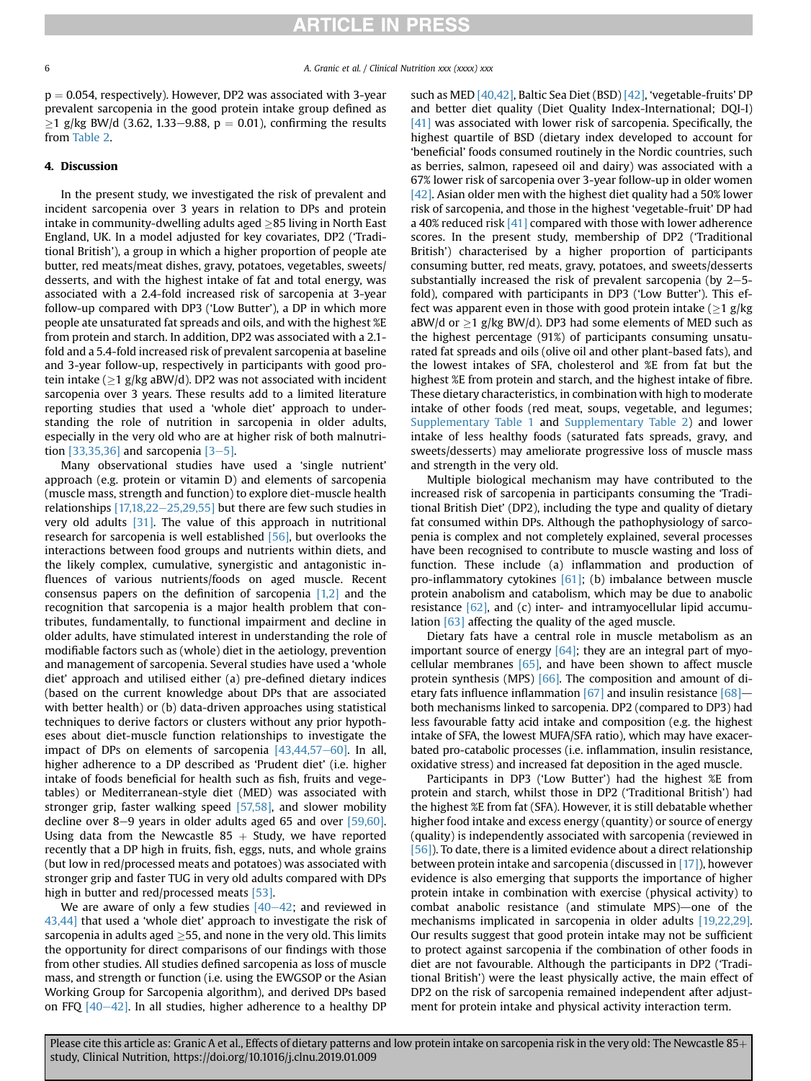$p = 0.054$ , respectively). However, DP2 was associated with 3-year prevalent sarcopenia in the good protein intake group defined as  $\geq$ 1 g/kg BW/d (3.62, 1.33–9.88, p = 0.01), confirming the results from [Table 2.](#page-4-0)

### 4. Discussion

In the present study, we investigated the risk of prevalent and incident sarcopenia over 3 years in relation to DPs and protein intake in community-dwelling adults aged  $\geq$ 85 living in North East England, UK. In a model adjusted for key covariates, DP2 ('Traditional British'), a group in which a higher proportion of people ate butter, red meats/meat dishes, gravy, potatoes, vegetables, sweets/ desserts, and with the highest intake of fat and total energy, was associated with a 2.4-fold increased risk of sarcopenia at 3-year follow-up compared with DP3 ('Low Butter'), a DP in which more people ate unsaturated fat spreads and oils, and with the highest %E from protein and starch. In addition, DP2 was associated with a 2.1 fold and a 5.4-fold increased risk of prevalent sarcopenia at baseline and 3-year follow-up, respectively in participants with good protein intake ( $\geq$ 1 g/kg aBW/d). DP2 was not associated with incident sarcopenia over 3 years. These results add to a limited literature reporting studies that used a 'whole diet' approach to understanding the role of nutrition in sarcopenia in older adults, especially in the very old who are at higher risk of both malnutrition  $[33,35,36]$  and sarcopenia  $[3-5]$  $[3-5]$ .

Many observational studies have used a 'single nutrient' approach (e.g. protein or vitamin D) and elements of sarcopenia (muscle mass, strength and function) to explore diet-muscle health relationships  $[17,18,22-25,29,55]$  $[17,18,22-25,29,55]$  $[17,18,22-25,29,55]$  but there are few such studies in very old adults [\[31\].](#page-7-0) The value of this approach in nutritional research for sarcopenia is well established [\[56\]](#page-7-0), but overlooks the interactions between food groups and nutrients within diets, and the likely complex, cumulative, synergistic and antagonistic influences of various nutrients/foods on aged muscle. Recent consensus papers on the definition of sarcopenia  $[1,2]$  and the recognition that sarcopenia is a major health problem that contributes, fundamentally, to functional impairment and decline in older adults, have stimulated interest in understanding the role of modifiable factors such as (whole) diet in the aetiology, prevention and management of sarcopenia. Several studies have used a 'whole diet' approach and utilised either (a) pre-defined dietary indices (based on the current knowledge about DPs that are associated with better health) or (b) data-driven approaches using statistical techniques to derive factors or clusters without any prior hypotheses about diet-muscle function relationships to investigate the impact of DPs on elements of sarcopenia  $[43,44,57-60]$  $[43,44,57-60]$  $[43,44,57-60]$ . In all, higher adherence to a DP described as 'Prudent diet' (i.e. higher intake of foods beneficial for health such as fish, fruits and vegetables) or Mediterranean-style diet (MED) was associated with stronger grip, faster walking speed [\[57,58\]](#page-7-0), and slower mobility decline over 8-9 years in older adults aged 65 and over  $[59,60]$ . Using data from the Newcastle  $85 +$  Study, we have reported recently that a DP high in fruits, fish, eggs, nuts, and whole grains (but low in red/processed meats and potatoes) was associated with stronger grip and faster TUG in very old adults compared with DPs high in butter and red/processed meats [\[53\]](#page-7-0).

We are aware of only a few studies  $[40-42;$  $[40-42;$  $[40-42;$  and reviewed in [43,44\]](#page-7-0) that used a 'whole diet' approach to investigate the risk of sarcopenia in adults aged  $\geq$ 55, and none in the very old. This limits the opportunity for direct comparisons of our findings with those from other studies. All studies defined sarcopenia as loss of muscle mass, and strength or function (i.e. using the EWGSOP or the Asian Working Group for Sarcopenia algorithm), and derived DPs based on FFQ  $[40-42]$  $[40-42]$  $[40-42]$ . In all studies, higher adherence to a healthy DP such as MED [\[40,42\]](#page-7-0), Baltic Sea Diet (BSD) [\[42\],](#page-7-0) 'vegetable-fruits' DP and better diet quality (Diet Quality Index-International; DQI-I) [\[41\]](#page-7-0) was associated with lower risk of sarcopenia. Specifically, the highest quartile of BSD (dietary index developed to account for 'beneficial' foods consumed routinely in the Nordic countries, such as berries, salmon, rapeseed oil and dairy) was associated with a 67% lower risk of sarcopenia over 3-year follow-up in older women [\[42\]](#page-7-0). Asian older men with the highest diet quality had a 50% lower risk of sarcopenia, and those in the highest 'vegetable-fruit' DP had a 40% reduced risk  $[41]$  compared with those with lower adherence scores. In the present study, membership of DP2 ('Traditional British') characterised by a higher proportion of participants consuming butter, red meats, gravy, potatoes, and sweets/desserts substantially increased the risk of prevalent sarcopenia (by  $2-5$ fold), compared with participants in DP3 ('Low Butter'). This effect was apparent even in those with good protein intake ( $\geq$ 1 g/kg  $aBW/d$  or  $\geq$ 1 g/kg BW/d). DP3 had some elements of MED such as the highest percentage (91%) of participants consuming unsaturated fat spreads and oils (olive oil and other plant-based fats), and the lowest intakes of SFA, cholesterol and %E from fat but the highest %E from protein and starch, and the highest intake of fibre. These dietary characteristics, in combination with high to moderate intake of other foods (red meat, soups, vegetable, and legumes; Supplementary Table 1 and Supplementary Table 2) and lower intake of less healthy foods (saturated fats spreads, gravy, and sweets/desserts) may ameliorate progressive loss of muscle mass and strength in the very old.

Multiple biological mechanism may have contributed to the increased risk of sarcopenia in participants consuming the 'Traditional British Diet' (DP2), including the type and quality of dietary fat consumed within DPs. Although the pathophysiology of sarcopenia is complex and not completely explained, several processes have been recognised to contribute to muscle wasting and loss of function. These include (a) inflammation and production of pro-inflammatory cytokines  $[61]$ ; (b) imbalance between muscle protein anabolism and catabolism, which may be due to anabolic resistance  $[62]$ , and  $(c)$  inter- and intramy ocellular lipid accumulation  $[63]$  affecting the quality of the aged muscle.

Dietary fats have a central role in muscle metabolism as an important source of energy  $[64]$ ; they are an integral part of myocellular membranes  $[65]$ , and have been shown to affect muscle protein synthesis (MPS) [\[66\].](#page-7-0) The composition and amount of dietary fats influence inflammation  $[67]$  and insulin resistance  $[68]$  both mechanisms linked to sarcopenia. DP2 (compared to DP3) had less favourable fatty acid intake and composition (e.g. the highest intake of SFA, the lowest MUFA/SFA ratio), which may have exacerbated pro-catabolic processes (i.e. inflammation, insulin resistance, oxidative stress) and increased fat deposition in the aged muscle.

Participants in DP3 ('Low Butter') had the highest %E from protein and starch, whilst those in DP2 ('Traditional British') had the highest %E from fat (SFA). However, it is still debatable whether higher food intake and excess energy (quantity) or source of energy (quality) is independently associated with sarcopenia (reviewed in [\[56\]](#page-7-0)). To date, there is a limited evidence about a direct relationship between protein intake and sarcopenia (discussed in [\[17\]](#page-7-0)), however evidence is also emerging that supports the importance of higher protein intake in combination with exercise (physical activity) to combat anabolic resistance (and stimulate MPS)—one of the mechanisms implicated in sarcopenia in older adults [\[19,22,29\].](#page-7-0) Our results suggest that good protein intake may not be sufficient to protect against sarcopenia if the combination of other foods in diet are not favourable. Although the participants in DP2 ('Traditional British') were the least physically active, the main effect of DP2 on the risk of sarcopenia remained independent after adjustment for protein intake and physical activity interaction term.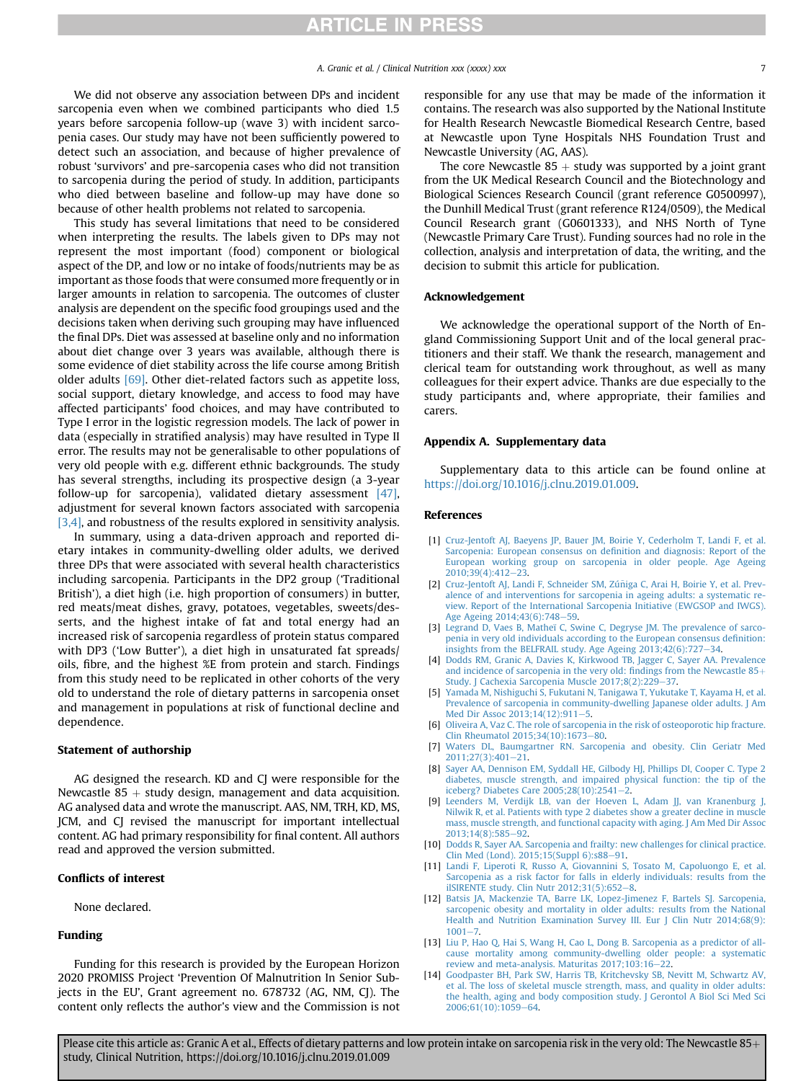## **ARTICLE IN PRESS**

<span id="page-6-0"></span>We did not observe any association between DPs and incident sarcopenia even when we combined participants who died 1.5 years before sarcopenia follow-up (wave 3) with incident sarcopenia cases. Our study may have not been sufficiently powered to detect such an association, and because of higher prevalence of robust 'survivors' and pre-sarcopenia cases who did not transition to sarcopenia during the period of study. In addition, participants who died between baseline and follow-up may have done so because of other health problems not related to sarcopenia.

This study has several limitations that need to be considered when interpreting the results. The labels given to DPs may not represent the most important (food) component or biological aspect of the DP, and low or no intake of foods/nutrients may be as important as those foods that were consumed more frequently or in larger amounts in relation to sarcopenia. The outcomes of cluster analysis are dependent on the specific food groupings used and the decisions taken when deriving such grouping may have influenced the final DPs. Diet was assessed at baseline only and no information about diet change over 3 years was available, although there is some evidence of diet stability across the life course among British older adults [\[69\].](#page-7-0) Other diet-related factors such as appetite loss, social support, dietary knowledge, and access to food may have affected participants' food choices, and may have contributed to Type I error in the logistic regression models. The lack of power in data (especially in stratified analysis) may have resulted in Type II error. The results may not be generalisable to other populations of very old people with e.g. different ethnic backgrounds. The study has several strengths, including its prospective design (a 3-year follow-up for sarcopenia), validated dietary assessment [\[47\],](#page-7-0) adjustment for several known factors associated with sarcopenia [3,4], and robustness of the results explored in sensitivity analysis.

In summary, using a data-driven approach and reported dietary intakes in community-dwelling older adults, we derived three DPs that were associated with several health characteristics including sarcopenia. Participants in the DP2 group ('Traditional British'), a diet high (i.e. high proportion of consumers) in butter, red meats/meat dishes, gravy, potatoes, vegetables, sweets/desserts, and the highest intake of fat and total energy had an increased risk of sarcopenia regardless of protein status compared with DP3 ('Low Butter'), a diet high in unsaturated fat spreads/ oils, fibre, and the highest %E from protein and starch. Findings from this study need to be replicated in other cohorts of the very old to understand the role of dietary patterns in sarcopenia onset and management in populations at risk of functional decline and dependence.

#### Statement of authorship

AG designed the research. KD and CJ were responsible for the Newcastle  $85 +$  study design, management and data acquisition. AG analysed data and wrote the manuscript. AAS, NM, TRH, KD, MS, JCM, and CJ revised the manuscript for important intellectual content. AG had primary responsibility for final content. All authors read and approved the version submitted.

### Conflicts of interest

None declared.

#### Funding

Funding for this research is provided by the European Horizon 2020 PROMISS Project 'Prevention Of Malnutrition In Senior Subjects in the EU', Grant agreement no. 678732 (AG, NM, CJ). The content only reflects the author's view and the Commission is not responsible for any use that may be made of the information it contains. The research was also supported by the National Institute for Health Research Newcastle Biomedical Research Centre, based at Newcastle upon Tyne Hospitals NHS Foundation Trust and Newcastle University (AG, AAS).

The core Newcastle  $85 +$  study was supported by a joint grant from the UK Medical Research Council and the Biotechnology and Biological Sciences Research Council (grant reference G0500997), the Dunhill Medical Trust (grant reference R124/0509), the Medical Council Research grant (G0601333), and NHS North of Tyne (Newcastle Primary Care Trust). Funding sources had no role in the collection, analysis and interpretation of data, the writing, and the decision to submit this article for publication.

#### Acknowledgement

We acknowledge the operational support of the North of England Commissioning Support Unit and of the local general practitioners and their staff. We thank the research, management and clerical team for outstanding work throughout, as well as many colleagues for their expert advice. Thanks are due especially to the study participants and, where appropriate, their families and carers.

#### Appendix A. Supplementary data

Supplementary data to this article can be found online at <https://doi.org/10.1016/j.clnu.2019.01.009>.

#### References

- [1] [Cruz-Jentoft AJ, Baeyens JP, Bauer JM, Boirie Y, Cederholm T, Landi F, et al.](http://refhub.elsevier.com/S0261-5614(19)30011-1/sref1) [Sarcopenia: European consensus on de](http://refhub.elsevier.com/S0261-5614(19)30011-1/sref1)finition and diagnosis: Report of the [European working group on sarcopenia in older people. Age Ageing](http://refhub.elsevier.com/S0261-5614(19)30011-1/sref1)  $2010:39(4):412-23$  $2010:39(4):412-23$
- [2] Cruz-Jentoft AJ, Landi F, Schneider SM, Zúñiga C, Arai H, Boirie Y, et al. Prev[alence of and interventions for sarcopenia in ageing adults: a systematic re](http://refhub.elsevier.com/S0261-5614(19)30011-1/sref2)[view. Report of the International Sarcopenia Initiative \(EWGSOP and IWGS\).](http://refhub.elsevier.com/S0261-5614(19)30011-1/sref2) [Age Ageing 2014;43\(6\):748](http://refhub.elsevier.com/S0261-5614(19)30011-1/sref2)-[59](http://refhub.elsevier.com/S0261-5614(19)30011-1/sref2).
- [3] [Legrand D, Vaes B, Matheï C, Swine C, Degryse JM. The prevalence of sarco](http://refhub.elsevier.com/S0261-5614(19)30011-1/sref3)[penia in very old individuals according to the European consensus de](http://refhub.elsevier.com/S0261-5614(19)30011-1/sref3)finition: insights from the BELFRAIL study. Age Ageing  $2013;42(6):727-34$  $2013;42(6):727-34$ .
- [4] [Dodds RM, Granic A, Davies K, Kirkwood TB, Jagger C, Sayer AA. Prevalence](http://refhub.elsevier.com/S0261-5614(19)30011-1/sref4) [and incidence of sarcopenia in the very old:](http://refhub.elsevier.com/S0261-5614(19)30011-1/sref4) findings from the Newcastle  $85+$ [Study. J Cachexia Sarcopenia Muscle 2017;8\(2\):229](http://refhub.elsevier.com/S0261-5614(19)30011-1/sref4)–[37.](http://refhub.elsevier.com/S0261-5614(19)30011-1/sref4)
- [5] [Yamada M, Nishiguchi S, Fukutani N, Tanigawa T, Yukutake T, Kayama H, et al.](http://refhub.elsevier.com/S0261-5614(19)30011-1/sref5) [Prevalence of sarcopenia in community-dwelling Japanese older adults. J Am](http://refhub.elsevier.com/S0261-5614(19)30011-1/sref5) Med Dir Assoc 2013:14(12):911-[5.](http://refhub.elsevier.com/S0261-5614(19)30011-1/sref5)
- [6] [Oliveira A, Vaz C. The role of sarcopenia in the risk of osteoporotic hip fracture.](http://refhub.elsevier.com/S0261-5614(19)30011-1/sref6) Clin Rheumatol 2015:34(10):1673-[80](http://refhub.elsevier.com/S0261-5614(19)30011-1/sref6).
- [7] [Waters DL, Baumgartner RN. Sarcopenia and obesity. Clin Geriatr Med](http://refhub.elsevier.com/S0261-5614(19)30011-1/sref7)  $2011:27(3):401-21.$  $2011:27(3):401-21.$  $2011:27(3):401-21.$
- [8] [Sayer AA, Dennison EM, Syddall HE, Gilbody HJ, Phillips DI, Cooper C. Type 2](http://refhub.elsevier.com/S0261-5614(19)30011-1/sref8) [diabetes, muscle strength, and impaired physical function: the tip of the](http://refhub.elsevier.com/S0261-5614(19)30011-1/sref8) [iceberg? Diabetes Care 2005;28\(10\):2541](http://refhub.elsevier.com/S0261-5614(19)30011-1/sref8)–[2.](http://refhub.elsevier.com/S0261-5614(19)30011-1/sref8)
- [9] [Leenders M, Verdijk LB, van der Hoeven L, Adam JJ, van Kranenburg J,](http://refhub.elsevier.com/S0261-5614(19)30011-1/sref9) [Nilwik R, et al. Patients with type 2 diabetes show a greater decline in muscle](http://refhub.elsevier.com/S0261-5614(19)30011-1/sref9) [mass, muscle strength, and functional capacity with aging. J Am Med Dir Assoc](http://refhub.elsevier.com/S0261-5614(19)30011-1/sref9) 2013:14(8):585-[92](http://refhub.elsevier.com/S0261-5614(19)30011-1/sref9).
- [10] [Dodds R, Sayer AA. Sarcopenia and frailty: new challenges for clinical practice.](http://refhub.elsevier.com/S0261-5614(19)30011-1/sref10) [Clin Med \(Lond\). 2015;15\(Suppl 6\):s88](http://refhub.elsevier.com/S0261-5614(19)30011-1/sref10)-[91](http://refhub.elsevier.com/S0261-5614(19)30011-1/sref10).
- [11] [Landi F, Liperoti R, Russo A, Giovannini S, Tosato M, Capoluongo E, et al.](http://refhub.elsevier.com/S0261-5614(19)30011-1/sref11) [Sarcopenia as a risk factor for falls in elderly individuals: results from the](http://refhub.elsevier.com/S0261-5614(19)30011-1/sref11) [ilSIRENTE study. Clin Nutr 2012;31\(5\):652](http://refhub.elsevier.com/S0261-5614(19)30011-1/sref11)-[8](http://refhub.elsevier.com/S0261-5614(19)30011-1/sref11).
- [12] [Batsis JA, Mackenzie TA, Barre LK, Lopez-Jimenez F, Bartels SJ. Sarcopenia,](http://refhub.elsevier.com/S0261-5614(19)30011-1/sref12) [sarcopenic obesity and mortality in older adults: results from the National](http://refhub.elsevier.com/S0261-5614(19)30011-1/sref12) [Health and Nutrition Examination Survey III. Eur J Clin Nutr 2014;68\(9\):](http://refhub.elsevier.com/S0261-5614(19)30011-1/sref12)  $1001 - 7$  $1001 - 7$
- [13] [Liu P, Hao Q, Hai S, Wang H, Cao L, Dong B. Sarcopenia as a predictor of all](http://refhub.elsevier.com/S0261-5614(19)30011-1/sref13)[cause mortality among community-dwelling older people: a systematic](http://refhub.elsevier.com/S0261-5614(19)30011-1/sref13) [review and meta-analysis. Maturitas 2017;103:16](http://refhub.elsevier.com/S0261-5614(19)30011-1/sref13)-[22.](http://refhub.elsevier.com/S0261-5614(19)30011-1/sref13)
- [14] [Goodpaster BH, Park SW, Harris TB, Kritchevsky SB, Nevitt M, Schwartz AV,](http://refhub.elsevier.com/S0261-5614(19)30011-1/sref14) [et al. The loss of skeletal muscle strength, mass, and quality in older adults:](http://refhub.elsevier.com/S0261-5614(19)30011-1/sref14) [the health, aging and body composition study. J Gerontol A Biol Sci Med Sci](http://refhub.elsevier.com/S0261-5614(19)30011-1/sref14) [2006;61\(10\):1059](http://refhub.elsevier.com/S0261-5614(19)30011-1/sref14)-[64](http://refhub.elsevier.com/S0261-5614(19)30011-1/sref14).